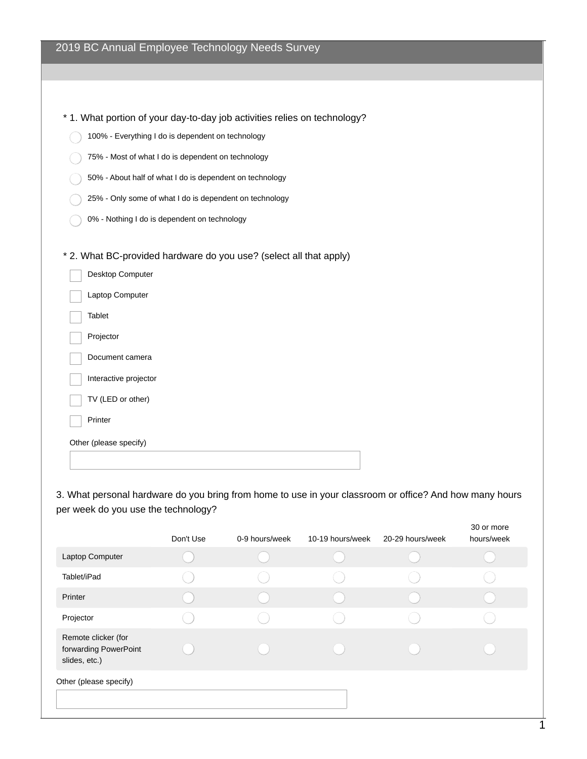| 2019 BC Annual Employee Technology Needs Survey |  |  |  |  |  |  |
|-------------------------------------------------|--|--|--|--|--|--|
|-------------------------------------------------|--|--|--|--|--|--|

| * 1. What portion of your day-to-day job activities relies on technology? |
|---------------------------------------------------------------------------|
| 100% - Everything I do is dependent on technology                         |
| 75% - Most of what I do is dependent on technology                        |
| 50% - About half of what I do is dependent on technology                  |
| 25% - Only some of what I do is dependent on technology                   |
| 0% - Nothing I do is dependent on technology                              |
|                                                                           |
| * 2. What BC-provided hardware do you use? (select all that apply)        |
| Desktop Computer                                                          |
| Laptop Computer                                                           |
| <b>Tablet</b>                                                             |
| Projector                                                                 |
| Document camera                                                           |
| Interactive projector                                                     |
| TV (LED or other)                                                         |
| Printer                                                                   |
| Other (please specify)                                                    |
|                                                                           |

3. What personal hardware do you bring from home to use in your classroom or office? And how many hours per week do you use the technology?

|                                                               | Don't Use | 0-9 hours/week | 10-19 hours/week | 20-29 hours/week | 30 or more<br>hours/week |
|---------------------------------------------------------------|-----------|----------------|------------------|------------------|--------------------------|
| Laptop Computer                                               |           |                |                  |                  |                          |
| Tablet/iPad                                                   |           |                |                  |                  |                          |
| Printer                                                       |           |                |                  |                  |                          |
| Projector                                                     |           |                |                  |                  |                          |
| Remote clicker (for<br>forwarding PowerPoint<br>slides, etc.) |           |                |                  |                  |                          |
| Other (please specify)                                        |           |                |                  |                  |                          |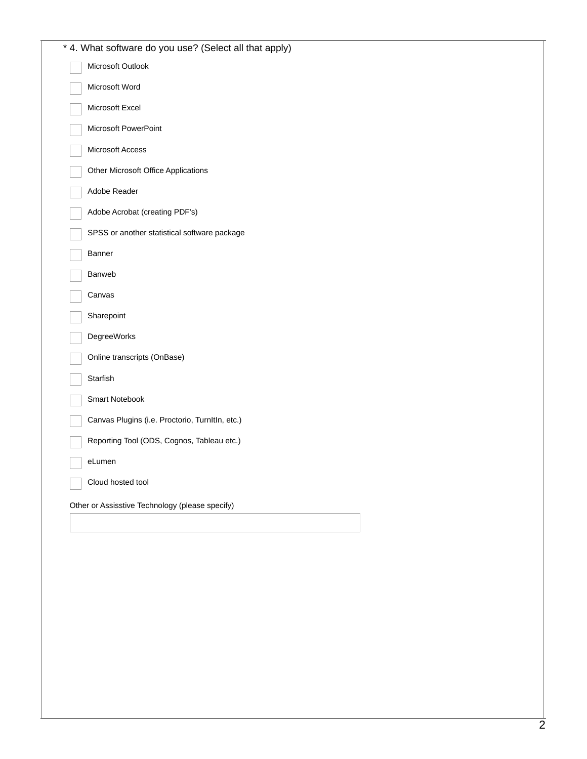| * 4. What software do you use? (Select all that apply) |
|--------------------------------------------------------|
| Microsoft Outlook                                      |
| Microsoft Word                                         |
| Microsoft Excel                                        |
| Microsoft PowerPoint                                   |
| Microsoft Access                                       |
| Other Microsoft Office Applications                    |
| Adobe Reader                                           |
| Adobe Acrobat (creating PDF's)                         |
| SPSS or another statistical software package           |
| Banner                                                 |
| Banweb                                                 |
| Canvas                                                 |
| Sharepoint                                             |
| DegreeWorks                                            |
| Online transcripts (OnBase)                            |
| Starfish                                               |
| Smart Notebook                                         |
| Canvas Plugins (i.e. Proctorio, TurnItIn, etc.)        |
| Reporting Tool (ODS, Cognos, Tableau etc.)             |
| eLumen                                                 |
| Cloud hosted tool                                      |
| Other or Assisstive Technology (please specify)        |
|                                                        |
|                                                        |
|                                                        |
|                                                        |
|                                                        |
|                                                        |
|                                                        |
|                                                        |
|                                                        |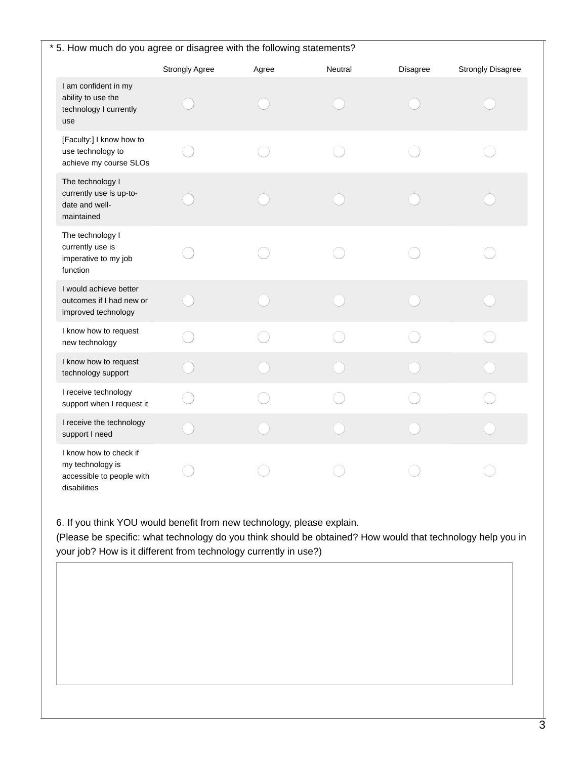| * 5. How much do you agree or disagree with the following statements?                   |                       |       |         |          |                          |  |
|-----------------------------------------------------------------------------------------|-----------------------|-------|---------|----------|--------------------------|--|
|                                                                                         | <b>Strongly Agree</b> | Agree | Neutral | Disagree | <b>Strongly Disagree</b> |  |
| I am confident in my<br>ability to use the<br>technology I currently<br>use             |                       |       |         |          |                          |  |
| [Faculty:] I know how to<br>use technology to<br>achieve my course SLOs                 |                       |       |         |          |                          |  |
| The technology I<br>currently use is up-to-<br>date and well-<br>maintained             |                       |       |         |          |                          |  |
| The technology I<br>currently use is<br>imperative to my job<br>function                |                       |       |         |          |                          |  |
| I would achieve better<br>outcomes if I had new or<br>improved technology               |                       |       |         |          |                          |  |
| I know how to request<br>new technology                                                 |                       |       |         |          |                          |  |
| I know how to request<br>technology support                                             |                       |       |         |          |                          |  |
| I receive technology<br>support when I request it                                       |                       |       |         |          |                          |  |
| I receive the technology<br>support I need                                              |                       |       |         |          |                          |  |
| I know how to check if<br>my technology is<br>accessible to people with<br>disabilities |                       |       |         |          |                          |  |

6. If you think YOU would benefit from new technology, please explain.

(Please be specific: what technology do you think should be obtained? How would that technology help you in your job? How is it different from technology currently in use?)